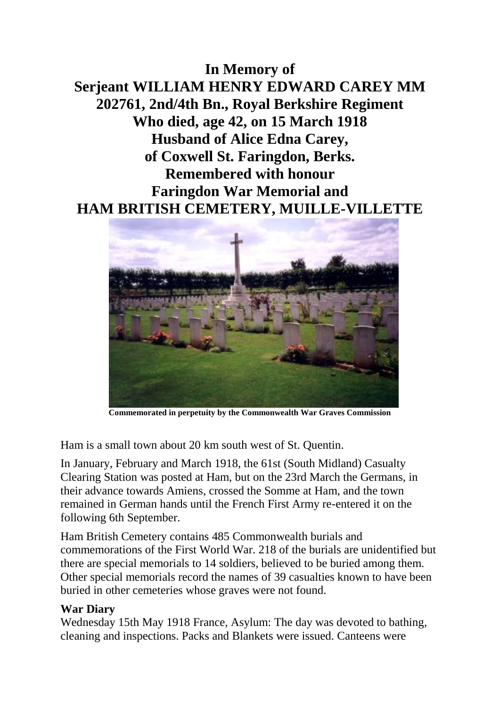## **In Memory of Serjeant WILLIAM HENRY EDWARD CAREY MM 202761, 2nd/4th Bn., Royal Berkshire Regiment Who died, age 42, on 15 March 1918 Husband of Alice Edna Carey, of Coxwell St. Faringdon, Berks. Remembered with honour Faringdon War Memorial and HAM BRITISH CEMETERY, MUILLE-VILLETTE**



**Commemorated in perpetuity by the Commonwealth War Graves Commission** 

Ham is a small town about 20 km south west of St. Quentin.

In January, February and March 1918, the 61st (South Midland) Casualty Clearing Station was posted at Ham, but on the 23rd March the Germans, in their advance towards Amiens, crossed the Somme at Ham, and the town remained in German hands until the French First Army re-entered it on the following 6th September.

Ham British Cemetery contains 485 Commonwealth burials and commemorations of the First World War. 218 of the burials are unidentified but there are special memorials to 14 soldiers, believed to be buried among them. Other special memorials record the names of 39 casualties known to have been buried in other cemeteries whose graves were not found.

## **War Diary**

Wednesday 15th May 1918 France, Asylum: The day was devoted to bathing, cleaning and inspections. Packs and Blankets were issued. Canteens were